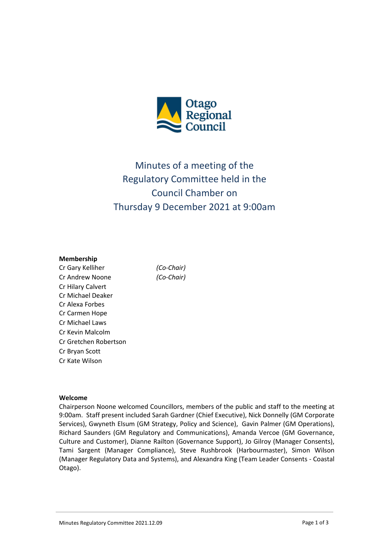

# Minutes of a meeting of the Regulatory Committee held in the Council Chamber on Thursday 9 December 2021 at 9:00am

#### **Membership**

Cr Gary Kelliher *(Co-Chair)* Cr Andrew Noone *(Co-Chair)* Cr Hilary Calvert Cr Michael Deaker Cr Alexa Forbes Cr Carmen Hope Cr Michael Laws Cr Kevin Malcolm Cr Gretchen Robertson Cr Bryan Scott Cr Kate Wilson

#### **Welcome**

Chairperson Noone welcomed Councillors, members of the public and staff to the meeting at 9:00am. Staff present included Sarah Gardner (Chief Executive), Nick Donnelly (GM Corporate Services), Gwyneth Elsum (GM Strategy, Policy and Science), Gavin Palmer (GM Operations), Richard Saunders (GM Regulatory and Communications), Amanda Vercoe (GM Governance, Culture and Customer), Dianne Railton (Governance Support), Jo Gilroy (Manager Consents), Tami Sargent (Manager Compliance), Steve Rushbrook (Harbourmaster), Simon Wilson (Manager Regulatory Data and Systems), and Alexandra King (Team Leader Consents - Coastal Otago).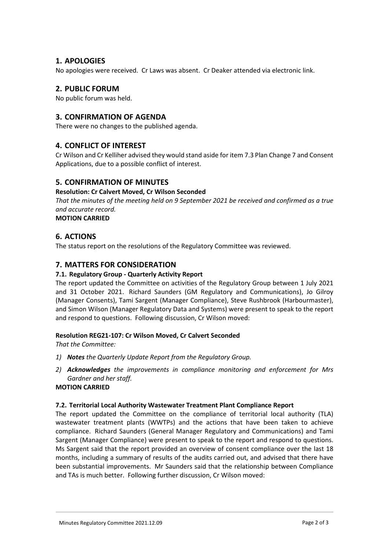# **1. APOLOGIES**

No apologies were received. Cr Laws was absent. Cr Deaker attended via electronic link.

# **2. PUBLIC FORUM**

No public forum was held.

# **3. CONFIRMATION OF AGENDA**

There were no changes to the published agenda.

# **4. CONFLICT OF INTEREST**

Cr Wilson and Cr Kelliher advised they would stand aside for item 7.3 Plan Change 7 and Consent Applications, due to a possible conflict of interest.

# **5. CONFIRMATION OF MINUTES**

# **Resolution: Cr Calvert Moved, Cr Wilson Seconded**

*That the minutes of the meeting held on 9 September 2021 be received and confirmed as a true and accurate record.*

**MOTION CARRIED**

# **6. ACTIONS**

The status report on the resolutions of the Regulatory Committee was reviewed.

# **7. MATTERS FOR CONSIDERATION**

# **7.1. Regulatory Group - Quarterly Activity Report**

The report updated the Committee on activities of the Regulatory Group between 1 July 2021 and 31 October 2021. Richard Saunders (GM Regulatory and Communications), Jo Gilroy (Manager Consents), Tami Sargent (Manager Compliance), Steve Rushbrook (Harbourmaster), and Simon Wilson (Manager Regulatory Data and Systems) were present to speak to the report and respond to questions. Following discussion, Cr Wilson moved:

# **Resolution REG21-107: Cr Wilson Moved, Cr Calvert Seconded**

*That the Committee:*

- *1) Notes the Quarterly Update Report from the Regulatory Group.*
- *2) Acknowledges the improvements in compliance monitoring and enforcement for Mrs Gardner and her staff.*

# **MOTION CARRIED**

# **7.2. Territorial Local Authority Wastewater Treatment Plant Compliance Report**

The report updated the Committee on the compliance of territorial local authority (TLA) wastewater treatment plants (WWTPs) and the actions that have been taken to achieve compliance. Richard Saunders (General Manager Regulatory and Communications) and Tami Sargent (Manager Compliance) were present to speak to the report and respond to questions. Ms Sargent said that the report provided an overview of consent compliance over the last 18 months, including a summary of results of the audits carried out, and advised that there have been substantial improvements. Mr Saunders said that the relationship between Compliance and TAs is much better. Following further discussion, Cr Wilson moved: